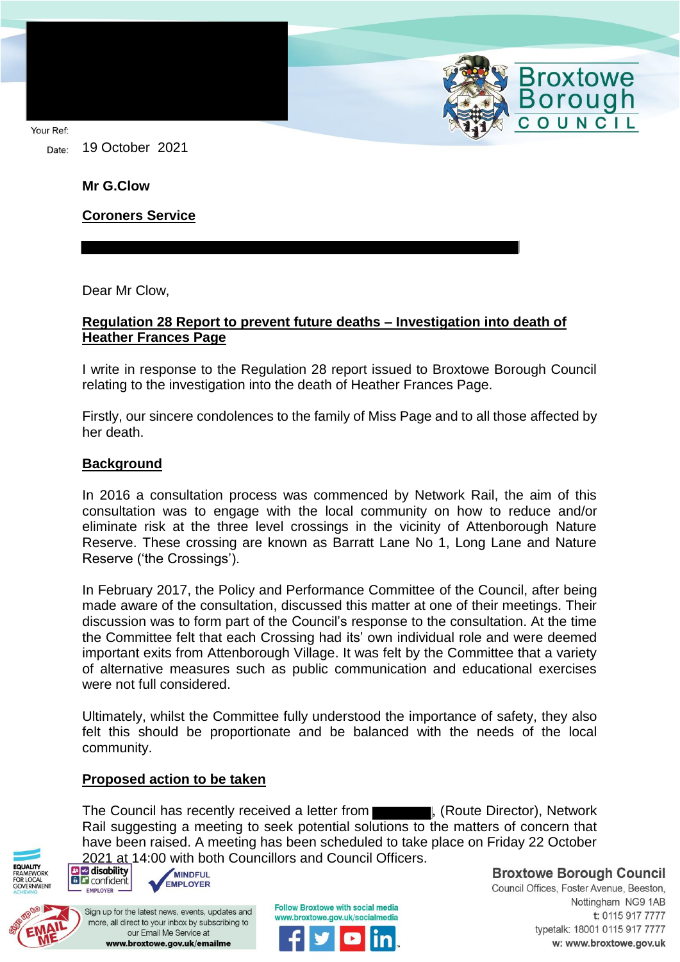Your Ref:

19 October 2021 Date:

**Mr G.Clow**

**Coroners Service**

Dear Mr Clow,

## **Regulation 28 Report to prevent future deaths – Investigation into death of Heather Frances Page**

I write in response to the Regulation 28 report issued to Broxtowe Borough Council relating to the investigation into the death of Heather Frances Page.

Firstly, our sincere condolences to the family of Miss Page and to all those affected by her death.

## **Background**

In 2016 a consultation process was commenced by Network Rail, the aim of this consultation was to engage with the local community on how to reduce and/or eliminate risk at the three level crossings in the vicinity of Attenborough Nature Reserve. These crossing are known as Barratt Lane No 1, Long Lane and Nature Reserve ('the Crossings').

In February 2017, the Policy and Performance Committee of the Council, after being made aware of the consultation, discussed this matter at one of their meetings. Their discussion was to form part of the Council's response to the consultation. At the time the Committee felt that each Crossing had its' own individual role and were deemed important exits from Attenborough Village. It was felt by the Committee that a variety of alternative measures such as public communication and educational exercises were not full considered.

Ultimately, whilst the Committee fully understood the importance of safety, they also felt this should be proportionate and be balanced with the needs of the local community.

## **Proposed action to be taken**

The Council has recently received a letter from **the countilation**, (Route Director), Network Rail suggesting a meeting to seek potential solutions to the matters of concern that have been raised. A meeting has been scheduled to take place on Friday 22 October 2021 at 14:00 with both Councillors and Council Officers.





Sign up for the latest news, events, updates and more, all direct to your inbox by subscribing to our Email Me Service at www.broxtowe.gov.uk/emailme



**Broxtowe Borough Council** 

Broxtowe<br>Borough

OUNCIL

Council Offices, Foster Avenue, Beeston, Nottingham NG9 1AB t: 0115 917 7777 typetalk: 18001 0115 917 7777 w: www.broxtowe.gov.uk